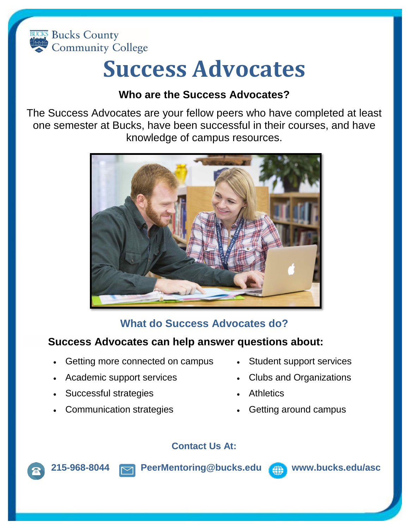

# **Success Advocates**

### **Who are the Success Advocates?**

The Success Advocates are your fellow peers who have completed at least one semester at Bucks, have been successful in their courses, and have knowledge of campus resources.



# **What do Success Advocates do?**

#### **Success Advocates can help answer questions about:**

- Getting more connected on campus
- Academic support services
- Successful strategies
- Communication strategies
- Student support services
- Clubs and Organizations
- Athletics
- Getting around campus

#### **Contact Us At:**



**215-968-8044 [PeerMentoring@bucks.edu](mailto:PeerMentoring@bucks.edu) [www.bucks.edu/asc](http://www.bucks.edu/asc)**